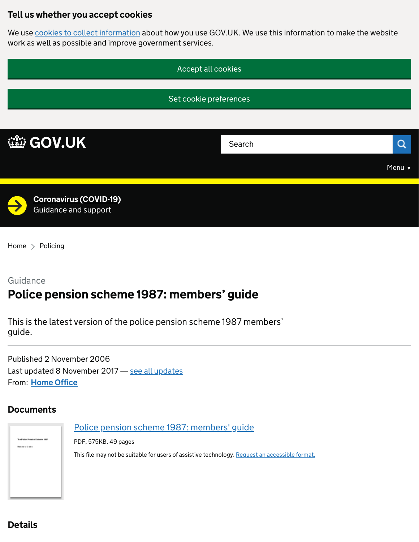## Tell us whether you accept cookies

We use [cookies to collect information](https://www.gov.uk/help/cookies) about how you use GOV.UK. We use this information to make the website work as well as possible and improve government services.



 $Home$  > [Policing](https://www.gov.uk/crime-justice-and-law/policing)

## Guidance Police pension scheme 1987: members' guide

This is the latest version of the police pension scheme 1987 members' guide.

From: <u>[Home Office](https://www.gov.uk/government/organisations/home-office)</u> Published 2 November 2006 Last updated 8 November 2017 - [see all updates](https://www.gov.uk/government/publications/police-pension-scheme-members-guide-october-2006#history)

#### **Documents**

.<br>Naskon v Gustav

[Police pension scheme 1987: members' guide](https://assets.publishing.service.gov.uk/government/uploads/system/uploads/attachment_data/file/658050/PPS_Members__Guide.pdf)

PDF, 575KB, 49 pages

This file may not be suitable for users of assistive technology. [Request an accessible format.](https://www.gov.uk/government/publications/police-pension-scheme-members-guide-october-2006#attachment-2384761-accessibility-request)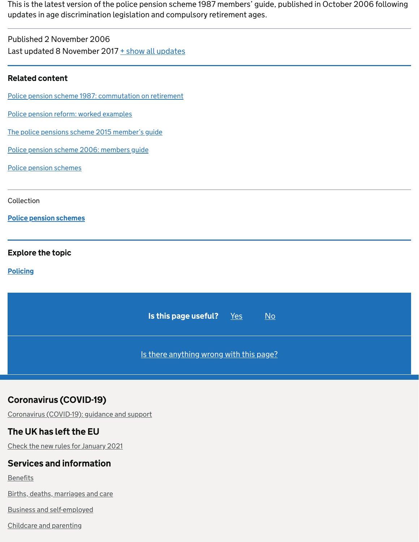This is the latest version of the police pension scheme 1987 members' guide, published in October 2006 following updates in age discrimination legislation and compulsory retirement ages.

| Published 2 November 2006                       |  |
|-------------------------------------------------|--|
| Last updated 8 November 2017 + show all updates |  |

#### Related content

[Police pension scheme 1987: commutation on retirement](https://www.gov.uk/government/publications/police-pension-scheme-1987-in-england-and-wales)

[Police pension reform: worked examples](https://www.gov.uk/government/publications/police-pension-reform-worked-examples)

[The police pensions scheme 2015 member's guide](https://www.gov.uk/government/publications/the-police-pensions-scheme-2015-members-guide)

[Police pension scheme 2006: members guide](https://www.gov.uk/government/publications/npps-members-guide-march-2009)

[Police pension schemes](https://www.gov.uk/government/collections/police-pension-schemes)

Collection

[Police pension schemes](https://www.gov.uk/government/collections/police-pension-schemes)

#### Explore the topic

**[Policing](https://www.gov.uk/crime-justice-and-law/policing)** 



## Coronavirus (COVID-19)

[Coronavirus \(COVID-19\): guidance and support](https://www.gov.uk/coronavirus)

#### The UK has left the EU

[Check the new rules for January 2021](https://www.gov.uk/transition)

## Services and information

**[Benefits](https://www.gov.uk/browse/benefits)** 

[Births, deaths, marriages and care](https://www.gov.uk/browse/births-deaths-marriages)

[Business and self-employed](https://www.gov.uk/browse/business)

[Childcare and parenting](https://www.gov.uk/browse/childcare-parenting)